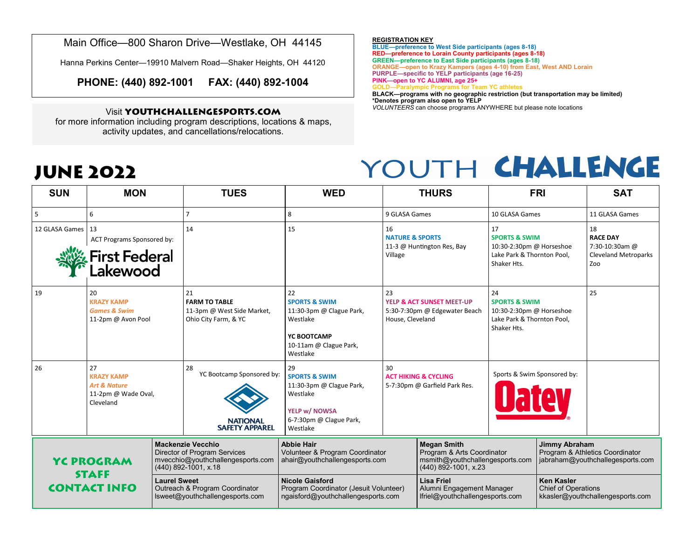Main Office—800 Sharon Drive—Westlake, OH 44145

Hanna Perkins Center—19910 Malvern Road—Shaker Heights, OH 44120

**PHONE: (440) 892-1001 FAX: (440) 892-1004**

### Visit **YOUTHCHALLENGESPORTS.COM**

for more information including program descriptions, locations & maps, activity updates, and cancellations/relocations.

**JUNE 2022**

#### **REGISTRATION KEY**

**BLUE—preference to West Side participants (ages 8-18) RED—preference to Lorain County participants (ages 8-18) GREEN—preference to East Side participants (ages 8-18) ORANGE—open to Krazy Kampers (ages 4-10) from East, West AND Lorain PURPLE—specific to YELP participants (age 16-25)**

**PINK—open to YC ALUMNI, age 25+**

**GOLD—Paralympic Programs for Team YC athletes**

**BLACK—programs with no geographic restriction (but transportation may be limited) \*Denotes program also open to YELP**

*VOLUNTEERS* can choose programs ANYWHERE but please note locations

## YOUTH CHALLENGE

| <b>SUN</b>                                               | <b>MON</b>                                                                             |                                                                                          | <b>TUES</b>                                                                                                                    | <b>WED</b>                                                                                                                     |                                                                                                 | <b>THURS</b>                                                                                                  |                                                                                                         | <b>FRI</b>                                                                                  | <b>SAT</b>                                                                    |
|----------------------------------------------------------|----------------------------------------------------------------------------------------|------------------------------------------------------------------------------------------|--------------------------------------------------------------------------------------------------------------------------------|--------------------------------------------------------------------------------------------------------------------------------|-------------------------------------------------------------------------------------------------|---------------------------------------------------------------------------------------------------------------|---------------------------------------------------------------------------------------------------------|---------------------------------------------------------------------------------------------|-------------------------------------------------------------------------------|
|                                                          | 6                                                                                      |                                                                                          |                                                                                                                                | 8                                                                                                                              | 9 GLASA Games                                                                                   |                                                                                                               | 10 GLASA Games                                                                                          |                                                                                             | 11 GLASA Games                                                                |
| 12 GLASA Games 13                                        | ACT Programs Sponsored by:<br>First Federal<br>Lakewood                                |                                                                                          | 14                                                                                                                             | 15                                                                                                                             | 16<br><b>NATURE &amp; SPORTS</b><br>11-3 @ Huntington Res, Bay<br>Village                       |                                                                                                               | 17<br><b>SPORTS &amp; SWIM</b><br>10:30-2:30pm @ Horseshoe<br>Lake Park & Thornton Pool,<br>Shaker Hts. |                                                                                             | 18<br><b>RACE DAY</b><br>7:30-10:30am @<br><b>Cleveland Metroparks</b><br>Zoo |
| 19                                                       | 20<br><b>KRAZY KAMP</b><br><b>Games &amp; Swim</b><br>11-2pm @ Avon Pool               |                                                                                          | 21<br><b>FARM TO TABLE</b><br>11-3pm @ West Side Market,<br>Ohio City Farm, & YC                                               | 22<br><b>SPORTS &amp; SWIM</b><br>11:30-3pm @ Clague Park,<br>Westlake<br>YC BOOTCAMP<br>10-11am @ Clague Park,<br>Westlake    | 23<br><b>YELP &amp; ACT SUNSET MEET-UP</b><br>5:30-7:30pm @ Edgewater Beach<br>House, Cleveland |                                                                                                               | 24<br><b>SPORTS &amp; SWIM</b><br>10:30-2:30pm @ Horseshoe<br>Lake Park & Thornton Pool,<br>Shaker Hts. |                                                                                             | 25                                                                            |
| 26                                                       | 27<br><b>KRAZY KAMP</b><br><b>Art &amp; Nature</b><br>11-2pm @ Wade Oval,<br>Cleveland |                                                                                          | 28<br>YC Bootcamp Sponsored by:<br><b>NATIONAL</b><br><b>SAFETY APPAREL</b>                                                    | 29<br><b>SPORTS &amp; SWIM</b><br>11:30-3pm @ Clague Park,<br>Westlake<br>YELP w/ NOWSA<br>6-7:30pm @ Clague Park,<br>Westlake | 30                                                                                              | <b>ACT HIKING &amp; CYCLING</b><br>5-7:30pm @ Garfield Park Res.                                              | Sports & Swim Sponsored by:                                                                             |                                                                                             |                                                                               |
| <b>YC PROGRAM</b><br><b>STAFF</b><br><b>CONTACT INFO</b> |                                                                                        |                                                                                          | <b>Mackenzie Vecchio</b><br><b>Director of Program Services</b><br>mvecchio@youthchallengesports.com<br>$(440)$ 892-1001, x.18 | <b>Abbie Hair</b><br>Volunteer & Program Coordinator<br>ahair@youthchallengesports.com                                         |                                                                                                 | <b>Megan Smith</b><br>Program & Arts Coordinator<br>msmith@youthchallengesports.com<br>$(440)$ 892-1001, x.23 |                                                                                                         | <b>Jimmy Abraham</b><br>Program & Athletics Coordinator<br>jabraham@youthchallegesports.com |                                                                               |
|                                                          |                                                                                        | <b>Laurel Sweet</b><br>Outreach & Program Coordinator<br>lsweet@youthchallengesports.com |                                                                                                                                | <b>Nicole Gaisford</b><br>Program Coordinator (Jesuit Volunteer)<br>ngaisford@youthchallengesports.com                         |                                                                                                 | <b>Lisa Friel</b><br>Alumni Engagement Manager<br>lfriel@youthchallengesports.com                             |                                                                                                         | <b>Ken Kasler</b><br><b>Chief of Operations</b><br>kkasler@youthchallengesports.com         |                                                                               |